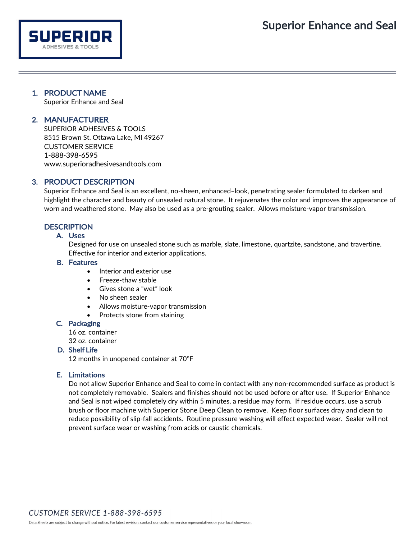# 1. PRODUCT NAME

SUPERIOR **ADHESIVES & TOOLS** 

Superior Enhance and Seal

# 2. MANUFACTURER

SUPERIOR ADHESIVES & TOOLS 8515 Brown St. Ottawa Lake, MI 49267 CUSTOMER SERVICE 1-888-398-6595 [www.superioradhesivesandtools.com](http://www.superioradhesivesandtools.com/)

# 3. PRODUCT DESCRIPTION

Superior Enhance and Seal is an excellent, no-sheen, enhanced–look, penetrating sealer formulated to darken and highlight the character and beauty of unsealed natural stone. It rejuvenates the color and improves the appearance of worn and weathered stone. May also be used as a pre-grouting sealer. Allows moisture-vapor transmission.

## **DESCRIPTION**

### A. Uses

Designed for use on unsealed stone such as marble, slate, limestone, quartzite, sandstone, and travertine. Effective for interior and exterior applications.

#### B. Features

- Interior and exterior use
- Freeze-thaw stable
- Gives stone a "wet" look
- No sheen sealer
- Allows moisture-vapor transmission
	- Protects stone from staining

#### C. Packaging

16 oz. container 32 oz. container

# D. Shelf Life

12 months in unopened container at 70ºF

#### E. Limitations

Do not allow Superior Enhance and Seal to come in contact with any non-recommended surface as product is not completely removable. Sealers and finishes should not be used before or after use. If Superior Enhance and Seal is not wiped completely dry within 5 minutes, a residue may form. If residue occurs, use a scrub brush or floor machine with Superior Stone Deep Clean to remove. Keep floor surfaces dray and clean to reduce possibility of slip-fall accidents. Routine pressure washing will effect expected wear. Sealer will not prevent surface wear or washing from acids or caustic chemicals.